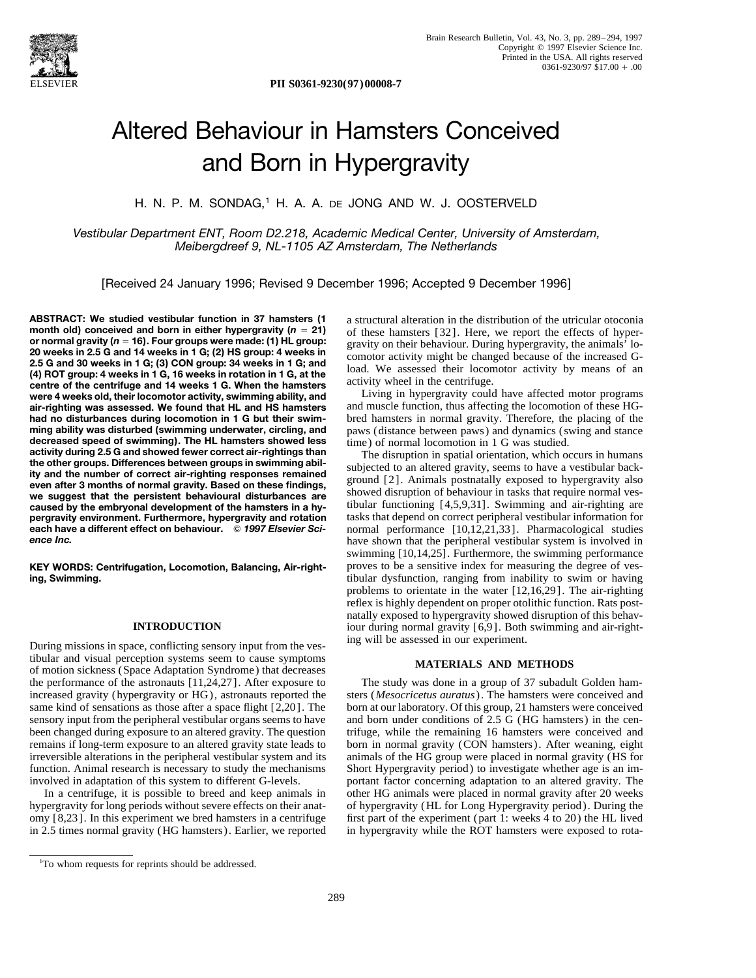

**PII S0361-9230(97)00008-7**

# Altered Behaviour in Hamsters Conceived and Born in Hypergravity

H. N. P. M. SONDAG,<sup>1</sup> H. A. A. DE JONG AND W. J. OOSTERVELD

*Vestibular Department ENT, Room D2.218, Academic Medical Center, University of Amsterdam, Meibergdreef 9, NL-1105 AZ Amsterdam, The Netherlands*

[Received 24 January 1996; Revised 9 December 1996; Accepted 9 December 1996]

**ABSTRACT: We studied vestibular function in 37 hamsters (1** month old) conceived and born in either hypergravity  $(n = 21)$ or normal gravity ( $n = 16$ ). Four groups were made: (1) HL group: **20 weeks in 2.5 G and 14 weeks in 1 G; (2) HS group: 4 weeks in 2.5 G and 30 weeks in 1 G; (3) CON group: 34 weeks in 1 G; and (4) ROT group: 4 weeks in 1 G, 16 weeks in rotation in 1 G, at the centre of the centrifuge and 14 weeks 1 G. When the hamsters were 4 weeks old, their locomotor activity, swimming ability, and air-righting was assessed. We found that HL and HS hamsters had no disturbances during locomotion in 1 G but their swimming ability was disturbed (swimming underwater, circling, and decreased speed of swimming). The HL hamsters showed less activity during 2.5 G and showed fewer correct air-rightings than the other groups. Differences between groups in swimming ability and the number of correct air-righting responses remained even after 3 months of normal gravity. Based on these findings, we suggest that the persistent behavioural disturbances are caused by the embryonal development of the hamsters in a hypergravity environment. Furthermore, hypergravity and rotation** each have a different effect on behaviour. © 1997 Elsevier Sci*ence Inc.*

**KEY WORDS: Centrifugation, Locomotion, Balancing, Air-righting, Swimming.**

## **INTRODUCTION**

During missions in space, conflicting sensory input from the vestibular and visual perception systems seem to cause symptoms of motion sickness (Space Adaptation Syndrome) that decreases the performance of the astronauts [11,24,27]. After exposure to increased gravity (hypergravity or HG), astronauts reported the same kind of sensations as those after a space flight [2,20]. The sensory input from the peripheral vestibular organs seems to have been changed during exposure to an altered gravity. The question remains if long-term exposure to an altered gravity state leads to irreversible alterations in the peripheral vestibular system and its function. Animal research is necessary to study the mechanisms involved in adaptation of this system to different G-levels.

In a centrifuge, it is possible to breed and keep animals in hypergravity for long periods without severe effects on their anatomy [8,23]. In this experiment we bred hamsters in a centrifuge in 2.5 times normal gravity (HG hamsters). Earlier, we reported

a structural alteration in the distribution of the utricular otoconia of these hamsters [32]. Here, we report the effects of hypergravity on their behaviour. During hypergravity, the animals' locomotor activity might be changed because of the increased Gload. We assessed their locomotor activity by means of an activity wheel in the centrifuge.

Living in hypergravity could have affected motor programs and muscle function, thus affecting the locomotion of these HGbred hamsters in normal gravity. Therefore, the placing of the paws (distance between paws) and dynamics (swing and stance time) of normal locomotion in 1 G was studied.

The disruption in spatial orientation, which occurs in humans subjected to an altered gravity, seems to have a vestibular background [2]. Animals postnatally exposed to hypergravity also showed disruption of behaviour in tasks that require normal vestibular functioning [4,5,9,31]. Swimming and air-righting are tasks that depend on correct peripheral vestibular information for normal performance [10,12,21,33]. Pharmacological studies have shown that the peripheral vestibular system is involved in swimming [10,14,25]. Furthermore, the swimming performance proves to be a sensitive index for measuring the degree of vestibular dysfunction, ranging from inability to swim or having problems to orientate in the water [12,16,29]. The air-righting reflex is highly dependent on proper otolithic function. Rats postnatally exposed to hypergravity showed disruption of this behaviour during normal gravity [6,9]. Both swimming and air-righting will be assessed in our experiment.

# **MATERIALS AND METHODS**

The study was done in a group of 37 subadult Golden hamsters (*Mesocricetus auratus*). The hamsters were conceived and born at our laboratory. Of this group, 21 hamsters were conceived and born under conditions of 2.5 G (HG hamsters) in the centrifuge, while the remaining 16 hamsters were conceived and born in normal gravity (CON hamsters). After weaning, eight animals of the HG group were placed in normal gravity (HS for Short Hypergravity period) to investigate whether age is an important factor concerning adaptation to an altered gravity. The other HG animals were placed in normal gravity after 20 weeks of hypergravity (HL for Long Hypergravity period). During the first part of the experiment (part 1: weeks 4 to 20) the HL lived in hypergravity while the ROT hamsters were exposed to rota-

<sup>&</sup>lt;sup>1</sup>To whom requests for reprints should be addressed.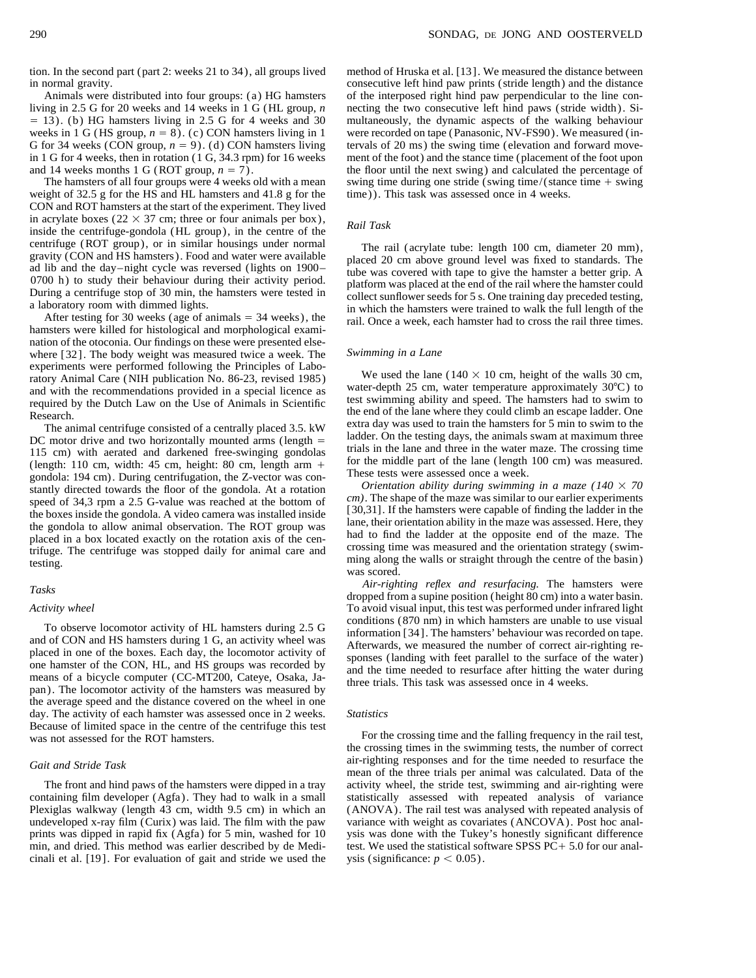tion. In the second part (part 2: weeks 21 to 34), all groups lived in normal gravity.

Animals were distributed into four groups: (a) HG hamsters living in 2.5 G for 20 weeks and 14 weeks in 1 G (HL group, *n*  $= 13$ ). (b) HG hamsters living in 2.5 G for 4 weeks and 30 weeks in 1 G (HS group,  $n = 8$ ). (c) CON hamsters living in 1 G for 34 weeks (CON group,  $n = 9$ ). (d) CON hamsters living in 1 G for 4 weeks, then in rotation (1 G, 34.3 rpm) for 16 weeks and 14 weeks months 1 G (ROT group,  $n = 7$ ).

The hamsters of all four groups were 4 weeks old with a mean weight of 32.5 g for the HS and HL hamsters and 41.8 g for the CON and ROT hamsters at the start of the experiment. They lived in acrylate boxes ( $22 \times 37$  cm; three or four animals per box), inside the centrifuge-gondola (HL group), in the centre of the centrifuge (ROT group), or in similar housings under normal gravity (CON and HS hamsters). Food and water were available ad lib and the day–night cycle was reversed (lights on 1900– 0700 h) to study their behaviour during their activity period. During a centrifuge stop of 30 min, the hamsters were tested in a laboratory room with dimmed lights.

After testing for 30 weeks (age of animals  $=$  34 weeks), the hamsters were killed for histological and morphological examination of the otoconia. Our findings on these were presented elsewhere [32]. The body weight was measured twice a week. The experiments were performed following the Principles of Laboratory Animal Care (NIH publication No. 86-23, revised 1985) and with the recommendations provided in a special licence as required by the Dutch Law on the Use of Animals in Scientific Research.

The animal centrifuge consisted of a centrally placed 3.5. kW DC motor drive and two horizontally mounted arms (length  $=$ 115 cm) with aerated and darkened free-swinging gondolas (length: 110 cm, width: 45 cm, height: 80 cm, length arm  $+$ gondola: 194 cm). During centrifugation, the Z-vector was constantly directed towards the floor of the gondola. At a rotation speed of 34,3 rpm a 2.5 G-value was reached at the bottom of the boxes inside the gondola. A video camera was installed inside the gondola to allow animal observation. The ROT group was placed in a box located exactly on the rotation axis of the centrifuge. The centrifuge was stopped daily for animal care and testing.

### *Tasks*

### *Activity wheel*

To observe locomotor activity of HL hamsters during 2.5 G and of CON and HS hamsters during 1 G, an activity wheel was placed in one of the boxes. Each day, the locomotor activity of one hamster of the CON, HL, and HS groups was recorded by means of a bicycle computer (CC-MT200, Cateye, Osaka, Japan). The locomotor activity of the hamsters was measured by the average speed and the distance covered on the wheel in one day. The activity of each hamster was assessed once in 2 weeks. Because of limited space in the centre of the centrifuge this test was not assessed for the ROT hamsters.

### *Gait and Stride Task*

The front and hind paws of the hamsters were dipped in a tray containing film developer (Agfa). They had to walk in a small Plexiglas walkway (length 43 cm, width 9.5 cm) in which an undeveloped x-ray film (Curix) was laid. The film with the paw prints was dipped in rapid fix (Agfa) for 5 min, washed for 10 min, and dried. This method was earlier described by de Medicinali et al. [19]. For evaluation of gait and stride we used the

method of Hruska et al. [13]. We measured the distance between consecutive left hind paw prints (stride length) and the distance of the interposed right hind paw perpendicular to the line connecting the two consecutive left hind paws (stride width). Simultaneously, the dynamic aspects of the walking behaviour were recorded on tape (Panasonic, NV-FS90). We measured (intervals of 20 ms) the swing time (elevation and forward movement of the foot) and the stance time (placement of the foot upon the floor until the next swing) and calculated the percentage of swing time during one stride (swing time/(stance time  $+$  swing time)). This task was assessed once in 4 weeks.

# *Rail Task*

The rail (acrylate tube: length 100 cm, diameter 20 mm), placed 20 cm above ground level was fixed to standards. The tube was covered with tape to give the hamster a better grip. A platform was placed at the end of the rail where the hamster could collect sunflower seeds for 5 s. One training day preceded testing, in which the hamsters were trained to walk the full length of the rail. Once a week, each hamster had to cross the rail three times.

### *Swimming in a Lane*

We used the lane ( $140 \times 10$  cm, height of the walls 30 cm, water-depth 25 cm, water temperature approximately  $30^{\circ}$ C) to test swimming ability and speed. The hamsters had to swim to the end of the lane where they could climb an escape ladder. One extra day was used to train the hamsters for 5 min to swim to the ladder. On the testing days, the animals swam at maximum three trials in the lane and three in the water maze. The crossing time for the middle part of the lane (length 100 cm) was measured. These tests were assessed once a week.

*Orientation ability during swimming in a maze (140*  $\times$  *70 cm).* The shape of the maze was similar to our earlier experiments [30,31]. If the hamsters were capable of finding the ladder in the lane, their orientation ability in the maze was assessed. Here, they had to find the ladder at the opposite end of the maze. The crossing time was measured and the orientation strategy (swimming along the walls or straight through the centre of the basin) was scored.

*Air-righting reflex and resurfacing.* The hamsters were dropped from a supine position (height 80 cm) into a water basin. To avoid visual input, this test was performed under infrared light conditions (870 nm) in which hamsters are unable to use visual information [34]. The hamsters' behaviour was recorded on tape. Afterwards, we measured the number of correct air-righting responses (landing with feet parallel to the surface of the water) and the time needed to resurface after hitting the water during three trials. This task was assessed once in 4 weeks.

### *Statistics*

For the crossing time and the falling frequency in the rail test, the crossing times in the swimming tests, the number of correct air-righting responses and for the time needed to resurface the mean of the three trials per animal was calculated. Data of the activity wheel, the stride test, swimming and air-righting were statistically assessed with repeated analysis of variance (ANOVA). The rail test was analysed with repeated analysis of variance with weight as covariates (ANCOVA). Post hoc analysis was done with the Tukey's honestly significant difference test. We used the statistical software SPSS  $PC + 5.0$  for our analysis (significance:  $p < 0.05$ ).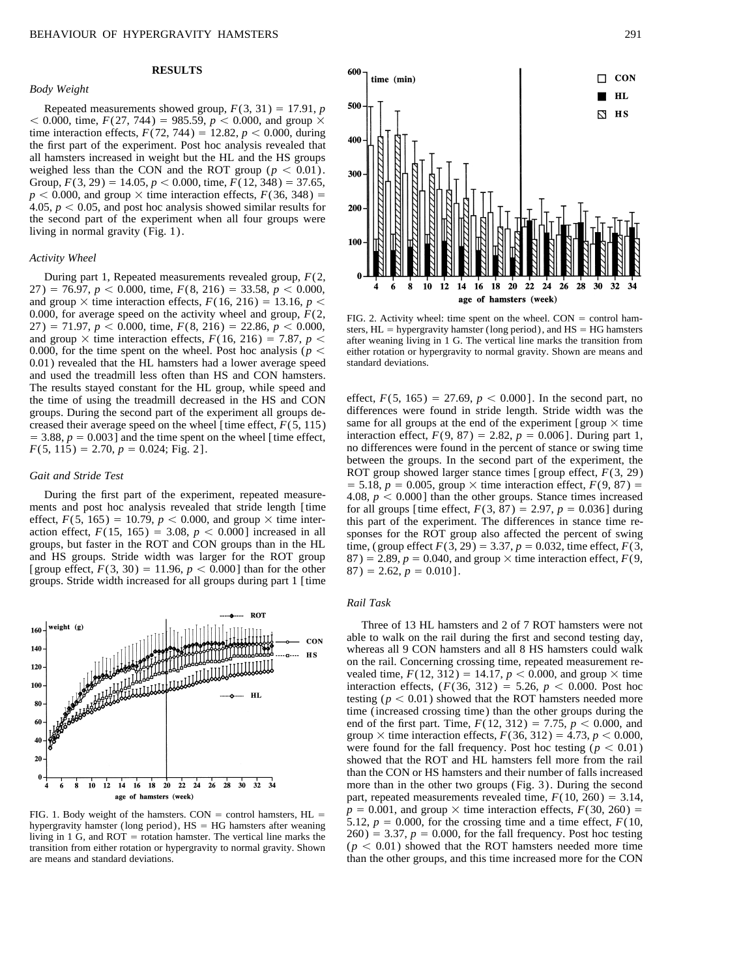### **RESULTS**

*Body Weight*

Repeated measurements showed group,  $F(3, 31) = 17.91$ , *p*  $\epsilon$  0.000, time, *F*(27, 744) = 985.59, *p*  $\epsilon$  0.000, and group  $\times$ time interaction effects,  $F(72, 744) = 12.82$ ,  $p < 0.000$ , during the first part of the experiment. Post hoc analysis revealed that all hamsters increased in weight but the HL and the HS groups weighed less than the CON and the ROT group ( $p < 0.01$ ). Group,  $F(3, 29) = 14.05$ ,  $p < 0.000$ , time,  $F(12, 348) = 37.65$ ,  $p < 0.000$ , and group  $\times$  time interaction effects,  $F(36, 348) =$ 4.05,  $p < 0.05$ , and post hoc analysis showed similar results for the second part of the experiment when all four groups were living in normal gravity (Fig. 1).

# *Activity Wheel*

During part 1, Repeated measurements revealed group, *F*(2,  $(27) = 76.97, p < 0.000$ , time,  $F(8, 216) = 33.58, p < 0.000$ , and group  $\times$  time interaction effects,  $F(16, 216) = 13.16$ ,  $p <$ 0.000, for average speed on the activity wheel and group,  $F(2, 1)$  $27$ ) = 71.97, *p* < 0.000, time, *F*(8, 216) = 22.86, *p* < 0.000, and group  $\times$  time interaction effects,  $F(16, 216) = 7.87$ ,  $p <$ 0.000, for the time spent on the wheel. Post hoc analysis ( $p <$ 0.01) revealed that the HL hamsters had a lower average speed and used the treadmill less often than HS and CON hamsters. The results stayed constant for the HL group, while speed and the time of using the treadmill decreased in the HS and CON groups. During the second part of the experiment all groups decreased their average speed on the wheel [time effect,  $F(5, 115)$ ]  $=$  3.88,  $p = 0.003$ ] and the time spent on the wheel [time effect,  $F(5, 115) = 2.70, p = 0.024;$  Fig. 2].

### *Gait and Stride Test*

During the first part of the experiment, repeated measurements and post hoc analysis revealed that stride length [time effect,  $F(5, 165) = 10.79$ ,  $p < 0.000$ , and group  $\times$  time interaction effect,  $F(15, 165) = 3.08$ ,  $p < 0.000$ ] increased in all groups, but faster in the ROT and CON groups than in the HL and HS groups. Stride width was larger for the ROT group [group effect,  $F(3, 30) = 11.96$ ,  $p < 0.000$ ] than for the other groups. Stride width increased for all groups during part 1 [time



FIG. 1. Body weight of the hamsters. CON = control hamsters,  $HL =$ hypergravity hamster (long period),  $HS = HG$  hamsters after weaning living in 1 G, and  $ROT = rotation$  hamster. The vertical line marks the transition from either rotation or hypergravity to normal gravity. Shown are means and standard deviations.



FIG. 2. Activity wheel: time spent on the wheel.  $CON = control$  hamsters,  $HL =$  hypergravity hamster (long period), and  $HS = HG$  hamsters after weaning living in 1 G. The vertical line marks the transition from either rotation or hypergravity to normal gravity. Shown are means and standard deviations.

effect,  $F(5, 165) = 27.69$ ,  $p < 0.000$ ]. In the second part, no differences were found in stride length. Stride width was the same for all groups at the end of the experiment  $\lceil \text{group} \times \text{time} \rceil$ interaction effect,  $F(9, 87) = 2.82$ ,  $p = 0.006$ ]. During part 1, no differences were found in the percent of stance or swing time between the groups. In the second part of the experiment, the ROT group showed larger stance times [group effect, *F*(3, 29)  $= 5.18$ ,  $p = 0.005$ , group  $\times$  time interaction effect,  $F(9, 87) =$ 4.08,  $p < 0.000$ ] than the other groups. Stance times increased for all groups [time effect,  $F(3, 87) = 2.97$ ,  $p = 0.036$ ] during this part of the experiment. The differences in stance time responses for the ROT group also affected the percent of swing time, (group effect  $F(3, 29) = 3.37, p = 0.032$ , time effect,  $F(3, 19) = 3.37, p = 0.032$ 87) = 2.89,  $p = 0.040$ , and group  $\times$  time interaction effect,  $F(9)$ ,  $(87) = 2.62, p = 0.010$ ].

# *Rail Task*

Three of 13 HL hamsters and 2 of 7 ROT hamsters were not able to walk on the rail during the first and second testing day, whereas all 9 CON hamsters and all 8 HS hamsters could walk on the rail. Concerning crossing time, repeated measurement revealed time,  $F(12, 312) = 14.17, p < 0.000$ , and group  $\times$  time interaction effects,  $(F(36, 312) = 5.26, p < 0.000$ . Post hoc testing  $(p < 0.01)$  showed that the ROT hamsters needed more time (increased crossing time) than the other groups during the end of the first part. Time,  $F(12, 312) = 7.75$ ,  $p < 0.000$ , and group  $\times$  time interaction effects,  $F(36, 312) = 4.73$ ,  $p < 0.000$ , were found for the fall frequency. Post hoc testing ( $p < 0.01$ ) showed that the ROT and HL hamsters fell more from the rail than the CON or HS hamsters and their number of falls increased more than in the other two groups (Fig. 3). During the second part, repeated measurements revealed time,  $F(10, 260) = 3.14$ ,  $p = 0.001$ , and group  $\times$  time interaction effects,  $F(30, 260) =$ 5.12,  $p = 0.000$ , for the crossing time and a time effect,  $F(10, 10)$  $260$ ) = 3.37,  $p = 0.000$ , for the fall frequency. Post hoc testing  $(p < 0.01)$  showed that the ROT hamsters needed more time than the other groups, and this time increased more for the CON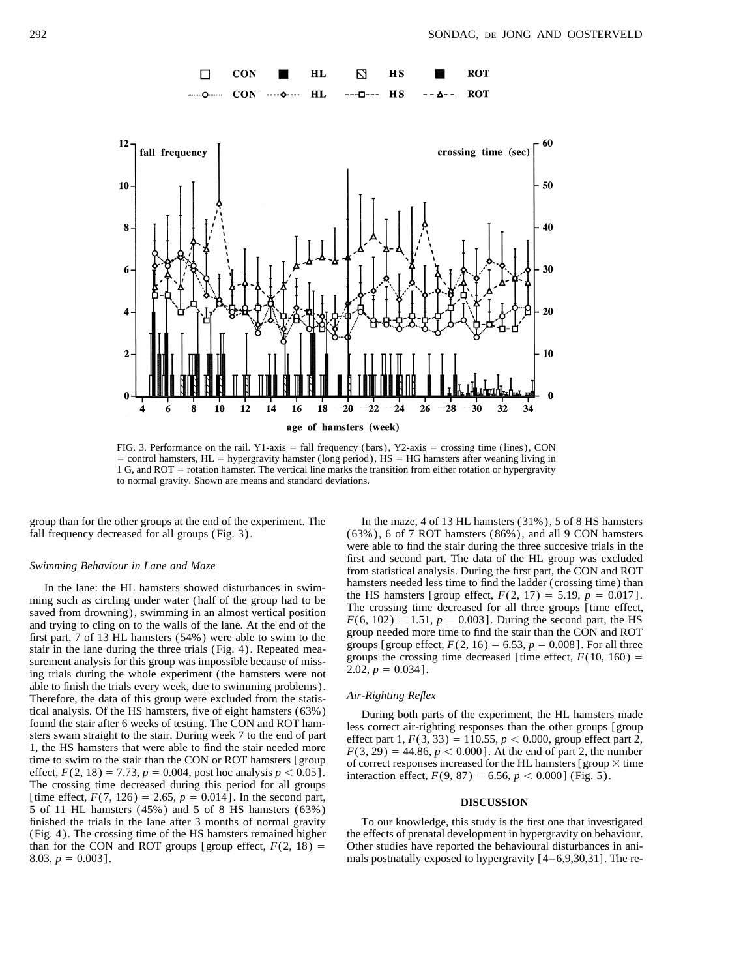**ROT** 



FIG. 3. Performance on the rail. Y1-axis = fall frequency (bars), Y2-axis = crossing time (lines), CON  $\hat{\theta}$  = control hamsters, HL = hypergravity hamster (long period), HS = HG hamsters after weaning living in 1 G, and ROT = rotation hamster. The vertical line marks the transition from either rotation or hypergravity to normal gravity. Shown are means and standard deviations.

group than for the other groups at the end of the experiment. The fall frequency decreased for all groups (Fig. 3).

### *Swimming Behaviour in Lane and Maze*

In the lane: the HL hamsters showed disturbances in swimming such as circling under water (half of the group had to be saved from drowning), swimming in an almost vertical position and trying to cling on to the walls of the lane. At the end of the first part, 7 of 13 HL hamsters (54%) were able to swim to the stair in the lane during the three trials (Fig. 4). Repeated measurement analysis for this group was impossible because of missing trials during the whole experiment (the hamsters were not able to finish the trials every week, due to swimming problems). Therefore, the data of this group were excluded from the statistical analysis. Of the HS hamsters, five of eight hamsters (63%) found the stair after 6 weeks of testing. The CON and ROT hamsters swam straight to the stair. During week 7 to the end of part 1, the HS hamsters that were able to find the stair needed more time to swim to the stair than the CON or ROT hamsters [group effect,  $F(2, 18) = 7.73$ ,  $p = 0.004$ , post hoc analysis  $p < 0.05$ ]. The crossing time decreased during this period for all groups [time effect,  $F(7, 126) = 2.65$ ,  $p = 0.014$ ]. In the second part, 5 of 11 HL hamsters (45%) and 5 of 8 HS hamsters (63%) finished the trials in the lane after 3 months of normal gravity (Fig. 4). The crossing time of the HS hamsters remained higher than for the CON and ROT groups [group effect,  $F(2, 18) =$ 8.03,  $p = 0.003$ ].

In the maze, 4 of 13 HL hamsters (31%), 5 of 8 HS hamsters (63%), 6 of 7 ROT hamsters (86%), and all 9 CON hamsters were able to find the stair during the three succesive trials in the first and second part. The data of the HL group was excluded from statistical analysis. During the first part, the CON and ROT hamsters needed less time to find the ladder (crossing time) than the HS hamsters [group effect,  $F(2, 17) = 5.19$ ,  $p = 0.017$ ]. The crossing time decreased for all three groups [time effect,  $F(6, 102) = 1.51, p = 0.003$ . During the second part, the HS group needed more time to find the stair than the CON and ROT groups [group effect,  $F(2, 16) = 6.53$ ,  $p = 0.008$ ]. For all three groups the crossing time decreased [time effect,  $F(10, 160) =$ 2.02,  $p = 0.034$ ].

### *Air-Righting Reflex*

During both parts of the experiment, the HL hamsters made less correct air-righting responses than the other groups [group effect part 1,  $F(3, 33) = 110.55$ ,  $p < 0.000$ , group effect part 2,  $F(3, 29) = 44.86$ ,  $p < 0.000$ ]. At the end of part 2, the number of correct responses increased for the HL hamsters [group  $\times$  time interaction effect,  $F(9, 87) = 6.56$ ,  $p < 0.000$ ] (Fig. 5).

### **DISCUSSION**

To our knowledge, this study is the first one that investigated the effects of prenatal development in hypergravity on behaviour. Other studies have reported the behavioural disturbances in animals postnatally exposed to hypergravity [4–6,9,30,31]. The re-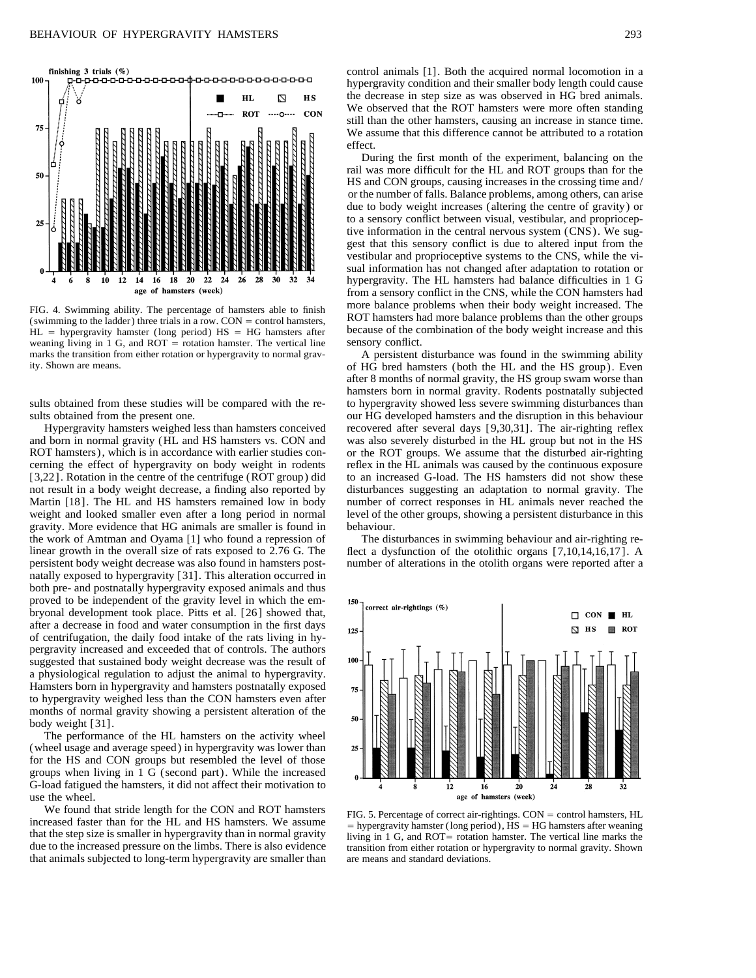

FIG. 4. Swimming ability. The percentage of hamsters able to finish (swimming to the ladder) three trials in a row.  $CON = control$  hamsters,  $HL =$  hypergravity hamster (long period)  $HS = HG$  hamsters after weaning living in  $1 \text{ G}$ , and  $\text{ROT} = \text{rotation hamster}$ . The vertical line marks the transition from either rotation or hypergravity to normal gravity. Shown are means.

sults obtained from these studies will be compared with the results obtained from the present one.

Hypergravity hamsters weighed less than hamsters conceived and born in normal gravity (HL and HS hamsters vs. CON and ROT hamsters), which is in accordance with earlier studies concerning the effect of hypergravity on body weight in rodents [3,22]. Rotation in the centre of the centrifuge (ROT group) did not result in a body weight decrease, a finding also reported by Martin [18]. The HL and HS hamsters remained low in body weight and looked smaller even after a long period in normal gravity. More evidence that HG animals are smaller is found in the work of Amtman and Oyama [1] who found a repression of linear growth in the overall size of rats exposed to 2.76 G. The persistent body weight decrease was also found in hamsters postnatally exposed to hypergravity [31]. This alteration occurred in both pre- and postnatally hypergravity exposed animals and thus proved to be independent of the gravity level in which the embryonal development took place. Pitts et al. [26] showed that, after a decrease in food and water consumption in the first days of centrifugation, the daily food intake of the rats living in hypergravity increased and exceeded that of controls. The authors suggested that sustained body weight decrease was the result of a physiological regulation to adjust the animal to hypergravity. Hamsters born in hypergravity and hamsters postnatally exposed to hypergravity weighed less than the CON hamsters even after months of normal gravity showing a persistent alteration of the body weight [31].

The performance of the HL hamsters on the activity wheel (wheel usage and average speed) in hypergravity was lower than for the HS and CON groups but resembled the level of those groups when living in1G(second part). While the increased G-load fatigued the hamsters, it did not affect their motivation to use the wheel.

We found that stride length for the CON and ROT hamsters increased faster than for the HL and HS hamsters. We assume that the step size is smaller in hypergravity than in normal gravity due to the increased pressure on the limbs. There is also evidence that animals subjected to long-term hypergravity are smaller than control animals [1]. Both the acquired normal locomotion in a hypergravity condition and their smaller body length could cause the decrease in step size as was observed in HG bred animals. We observed that the ROT hamsters were more often standing still than the other hamsters, causing an increase in stance time. We assume that this difference cannot be attributed to a rotation effect.

During the first month of the experiment, balancing on the rail was more difficult for the HL and ROT groups than for the HS and CON groups, causing increases in the crossing time and/ or the number of falls. Balance problems, among others, can arise due to body weight increases (altering the centre of gravity) or to a sensory conflict between visual, vestibular, and proprioceptive information in the central nervous system (CNS). We suggest that this sensory conflict is due to altered input from the vestibular and proprioceptive systems to the CNS, while the visual information has not changed after adaptation to rotation or hypergravity. The HL hamsters had balance difficulties in 1 G from a sensory conflict in the CNS, while the CON hamsters had more balance problems when their body weight increased. The ROT hamsters had more balance problems than the other groups because of the combination of the body weight increase and this sensory conflict.

A persistent disturbance was found in the swimming ability of HG bred hamsters (both the HL and the HS group). Even after 8 months of normal gravity, the HS group swam worse than hamsters born in normal gravity. Rodents postnatally subjected to hypergravity showed less severe swimming disturbances than our HG developed hamsters and the disruption in this behaviour recovered after several days [9,30,31]. The air-righting reflex was also severely disturbed in the HL group but not in the HS or the ROT groups. We assume that the disturbed air-righting reflex in the HL animals was caused by the continuous exposure to an increased G-load. The HS hamsters did not show these disturbances suggesting an adaptation to normal gravity. The number of correct responses in HL animals never reached the level of the other groups, showing a persistent disturbance in this behaviour.

The disturbances in swimming behaviour and air-righting reflect a dysfunction of the otolithic organs [7,10,14,16,17]. A number of alterations in the otolith organs were reported after a



FIG. 5. Percentage of correct air-rightings.  $CON = control$  hamsters,  $HL$  $h$  hypergravity hamster (long period),  $HS = HG$  hamsters after weaning living in  $1$  G, and ROT= rotation hamster. The vertical line marks the transition from either rotation or hypergravity to normal gravity. Shown are means and standard deviations.